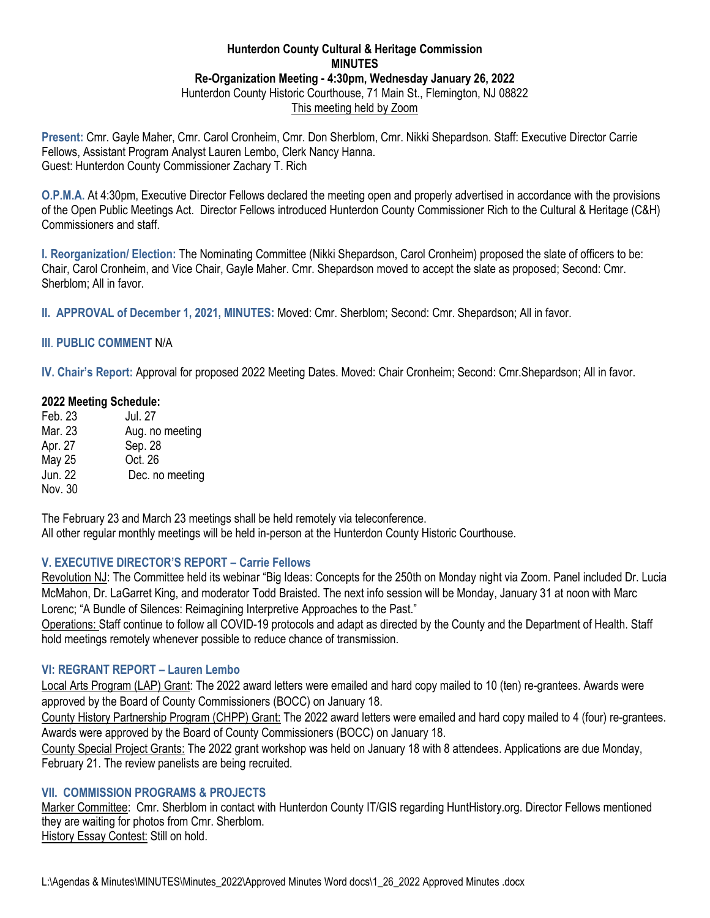### **Hunterdon County Cultural & Heritage Commission MINUTES Re-Organization Meeting - 4:30pm, Wednesday January 26, 2022** Hunterdon County Historic Courthouse, 71 Main St., Flemington, NJ 08822 This meeting held by Zoom

**Present:** Cmr. Gayle Maher, Cmr. Carol Cronheim, Cmr. Don Sherblom, Cmr. Nikki Shepardson. Staff: Executive Director Carrie Fellows, Assistant Program Analyst Lauren Lembo, Clerk Nancy Hanna. Guest: Hunterdon County Commissioner Zachary T. Rich

**O.P.M.A.** At 4:30pm, Executive Director Fellows declared the meeting open and properly advertised in accordance with the provisions of the Open Public Meetings Act. Director Fellows introduced Hunterdon County Commissioner Rich to the Cultural & Heritage (C&H) Commissioners and staff.

**I. Reorganization/ Election:** The Nominating Committee (Nikki Shepardson, Carol Cronheim) proposed the slate of officers to be: Chair, Carol Cronheim, and Vice Chair, Gayle Maher. Cmr. Shepardson moved to accept the slate as proposed; Second: Cmr. Sherblom; All in favor.

**II. APPROVAL of December 1, 2021, MINUTES:** Moved: Cmr. Sherblom; Second: Cmr. Shepardson; All in favor.

### **III**. **PUBLIC COMMENT** N/A

**IV. Chair's Report:** Approval for proposed 2022 Meeting Dates. Moved: Chair Cronheim; Second: Cmr.Shepardson; All in favor.

### **2022 Meeting Schedule:**

| Feb. 23 | Jul. 27         |
|---------|-----------------|
| Mar. 23 | Aug. no meeting |
| Apr. 27 | Sep. 28         |
| May 25  | Oct. 26         |
| Jun. 22 | Dec. no meeting |
| Nov. 30 |                 |

The February 23 and March 23 meetings shall be held remotely via teleconference. All other regular monthly meetings will be held in-person at the Hunterdon County Historic Courthouse.

### **V. EXECUTIVE DIRECTOR'S REPORT – Carrie Fellows**

Revolution NJ: The Committee held its webinar "Big Ideas: Concepts for the 250th on Monday night via Zoom. Panel included Dr. Lucia McMahon, Dr. LaGarret King, and moderator Todd Braisted. The next info session will be Monday, January 31 at noon with Marc Lorenc; "A Bundle of Silences: Reimagining Interpretive Approaches to the Past."

Operations: Staff continue to follow all COVID-19 protocols and adapt as directed by the County and the Department of Health. Staff hold meetings remotely whenever possible to reduce chance of transmission.

# **VI: REGRANT REPORT – Lauren Lembo**

Local Arts Program (LAP) Grant: The 2022 award letters were emailed and hard copy mailed to 10 (ten) re-grantees. Awards were approved by the Board of County Commissioners (BOCC) on January 18.

County History Partnership Program (CHPP) Grant: The 2022 award letters were emailed and hard copy mailed to 4 (four) re-grantees. Awards were approved by the Board of County Commissioners (BOCC) on January 18.

County Special Project Grants: The 2022 grant workshop was held on January 18 with 8 attendees. Applications are due Monday, February 21. The review panelists are being recruited.

### **VII. COMMISSION PROGRAMS & PROJECTS**

Marker Committee: Cmr. Sherblom in contact with Hunterdon County IT/GIS regarding HuntHistory.org. Director Fellows mentioned they are waiting for photos from Cmr. Sherblom. History Essay Contest: Still on hold.